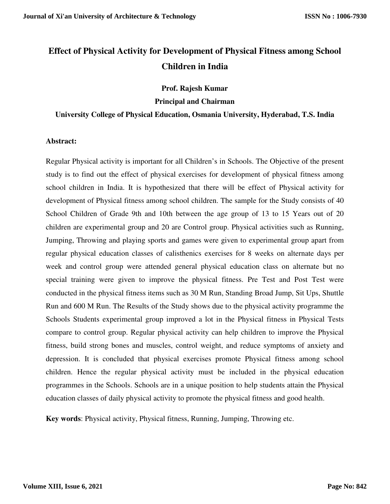# **Effect of Physical Activity for Development of Physical Fitness among School Children in India**

**Prof. Rajesh Kumar** 

**Principal and Chairman** 

#### **University College of Physical Education, Osmania University, Hyderabad, T.S. India**

#### **Abstract:**

Regular Physical activity is important for all Children's in Schools. The Objective of the present study is to find out the effect of physical exercises for development of physical fitness among school children in India. It is hypothesized that there will be effect of Physical activity for development of Physical fitness among school children. The sample for the Study consists of 40 School Children of Grade 9th and 10th between the age group of 13 to 15 Years out of 20 children are experimental group and 20 are Control group. Physical activities such as Running, Jumping, Throwing and playing sports and games were given to experimental group apart from regular physical education classes of calisthenics exercises for 8 weeks on alternate days per week and control group were attended general physical education class on alternate but no special training were given to improve the physical fitness. Pre Test and Post Test were conducted in the physical fitness items such as 30 M Run, Standing Broad Jump, Sit Ups, Shuttle Run and 600 M Run. The Results of the Study shows due to the physical activity programme the Schools Students experimental group improved a lot in the Physical fitness in Physical Tests compare to control group. Regular physical activity can help children to improve the Physical fitness, build strong bones and muscles, control weight, and reduce symptoms of anxiety and depression. It is concluded that physical exercises promote Physical fitness among school children. Hence the regular physical activity must be included in the physical education programmes in the Schools. Schools are in a unique position to help students attain the Physical education classes of daily physical activity to promote the physical fitness and good health.

**Key words**: Physical activity, Physical fitness, Running, Jumping, Throwing etc.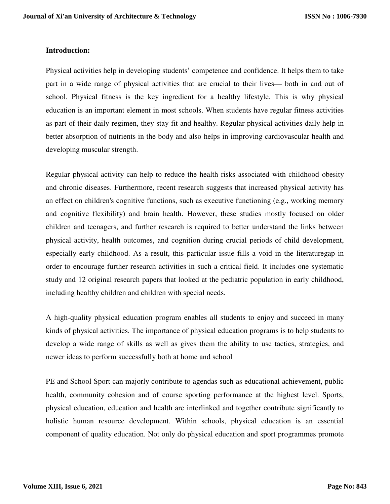#### **Introduction:**

Physical activities help in developing students' competence and confidence. It helps them to take part in a wide range of physical activities that are crucial to their lives— both in and out of school. Physical fitness is the key ingredient for a healthy lifestyle. This is why physical education is an important element in most schools. When students have regular fitness activities as part of their daily regimen, they stay fit and healthy. Regular physical activities daily help in better absorption of nutrients in the body and also helps in improving cardiovascular health and developing muscular strength.

Regular physical activity can help to reduce the health risks associated with childhood obesity and chronic diseases. Furthermore, recent research suggests that increased physical activity has an effect on children's cognitive functions, such as executive functioning (e.g., working memory and cognitive flexibility) and brain health. However, these studies mostly focused on older children and teenagers, and further research is required to better understand the links between physical activity, health outcomes, and cognition during crucial periods of child development, especially early childhood. As a result, this particular issue fills a void in the literaturegap in order to encourage further research activities in such a critical field. It includes one systematic study and 12 original research papers that looked at the pediatric population in early childhood, including healthy children and children with special needs.

A high-quality physical education program enables all students to enjoy and succeed in many kinds of physical activities. The importance of physical education programs is to help students to develop a wide range of skills as well as gives them the ability to use tactics, strategies, and newer ideas to perform successfully both at home and school

PE and School Sport can majorly contribute to agendas such as educational achievement, public health, community cohesion and of course sporting performance at the highest level. Sports, physical education, education and health are interlinked and together contribute significantly to holistic human resource development. Within schools, physical education is an essential component of quality education. Not only do physical education and sport programmes promote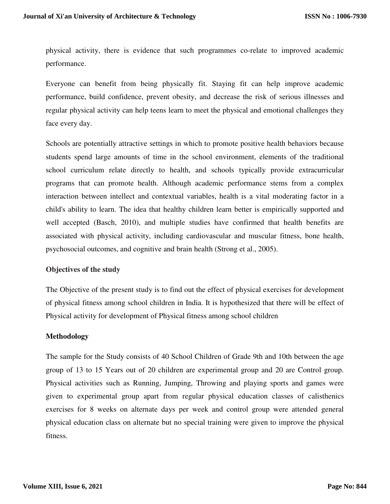physical activity, there is evidence that such programmes co-relate to improved academic performance.

Everyone can benefit from being physically fit. Staying fit can help improve academic performance, build confidence, prevent obesity, and decrease the risk of serious illnesses and regular physical activity can help teens learn to meet the physical and emotional challenges they face every day.

Schools are potentially attractive settings in which to promote positive health behaviors because students spend large amounts of time in the school environment, elements of the traditional school curriculum relate directly to health, and schools typically provide extracurricular programs that can promote health. Although academic performance stems from a complex interaction between intellect and contextual variables, health is a vital moderating factor in a child's ability to learn. The idea that healthy children learn better is empirically supported and well accepted (Basch, 2010), and multiple studies have confirmed that health benefits are associated with physical activity, including cardiovascular and muscular fitness, bone health, psychosocial outcomes, and cognitive and brain health (Strong et al., 2005).

## **Objectives of the study**

The Objective of the present study is to find out the effect of physical exercises for development of physical fitness among school children in India. It is hypothesized that there will be effect of Physical activity for development of Physical fitness among school children

#### **Methodology**

The sample for the Study consists of 40 School Children of Grade 9th and 10th between the age group of 13 to 15 Years out of 20 children are experimental group and 20 are Control group. Physical activities such as Running, Jumping, Throwing and playing sports and games were given to experimental group apart from regular physical education classes of calisthenics exercises for 8 weeks on alternate days per week and control group were attended general physical education class on alternate but no special training were given to improve the physical fitness.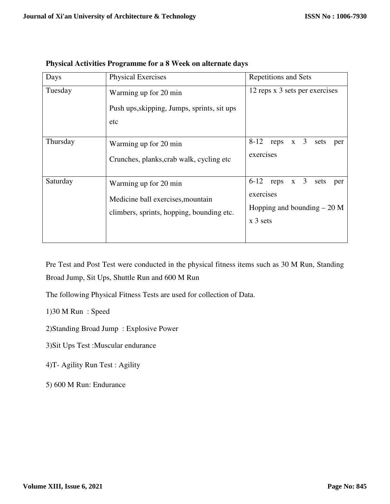| Days     | <b>Physical Exercises</b>                                                                               | Repetitions and Sets                                                                                              |  |  |  |
|----------|---------------------------------------------------------------------------------------------------------|-------------------------------------------------------------------------------------------------------------------|--|--|--|
| Tuesday  | Warming up for 20 min<br>Push ups, skipping, Jumps, sprints, sit ups<br>etc                             | 12 reps x 3 sets per exercises                                                                                    |  |  |  |
| Thursday | Warming up for 20 min<br>Crunches, planks, crab walk, cycling etc                                       | reps $x \quad 3$<br>$8 - 12$<br>sets<br>per<br>exercises                                                          |  |  |  |
| Saturday | Warming up for 20 min<br>Medicine ball exercises, mountain<br>climbers, sprints, hopping, bounding etc. | reps $x \quad 3$<br>$6 - 12$<br>sets<br>per<br>exercises<br>Hopping and bounding $-20$ M<br>$x \overline{3}$ sets |  |  |  |

**Physical Activities Programme for a 8 Week on alternate days** 

Pre Test and Post Test were conducted in the physical fitness items such as 30 M Run, Standing Broad Jump, Sit Ups, Shuttle Run and 600 M Run

The following Physical Fitness Tests are used for collection of Data.

1)30 M Run : Speed

2)Standing Broad Jump : Explosive Power

3)Sit Ups Test :Muscular endurance

4)T- Agility Run Test : Agility

5) 600 M Run: Endurance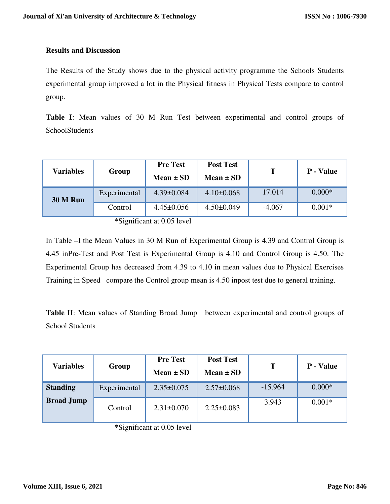# **Results and Discussion**

The Results of the Study shows due to the physical activity programme the Schools Students experimental group improved a lot in the Physical fitness in Physical Tests compare to control group.

**Table I**: Mean values of 30 M Run Test between experimental and control groups of **SchoolStudents** 

| <b>Variables</b> | Group        | <b>Pre Test</b><br>Mean $\pm$ SD | <b>Post Test</b><br>Mean $\pm$ SD | Т        | <b>P</b> - Value |
|------------------|--------------|----------------------------------|-----------------------------------|----------|------------------|
| <b>30 M Run</b>  | Experimental | $4.39 \pm 0.084$                 | $4.10\pm0.068$                    | 17.014   | $0.000*$         |
|                  | Control      | $4.45 \pm 0.056$                 | $4.50 \pm 0.049$                  | $-4.067$ | $0.001*$         |

\*Significant at 0.05 level

In Table –I the Mean Values in 30 M Run of Experimental Group is 4.39 and Control Group is 4.45 inPre-Test and Post Test is Experimental Group is 4.10 and Control Group is 4.50. The Experimental Group has decreased from 4.39 to 4.10 in mean values due to Physical Exercises Training in Speed compare the Control group mean is 4.50 inpost test due to general training.

**Table II**: Mean values of Standing Broad Jump between experimental and control groups of School Students

| <b>Variables</b>  | Group        | <b>Pre Test</b><br>Mean $\pm$ SD | <b>Post Test</b><br>$Mean \pm SD$ | Т         | <b>P</b> - Value |
|-------------------|--------------|----------------------------------|-----------------------------------|-----------|------------------|
| <b>Standing</b>   | Experimental | $2.35 \pm 0.075$                 | $2.57 \pm 0.068$                  | $-15.964$ | $0.000*$         |
| <b>Broad Jump</b> | Control      | $2.31 \pm 0.070$                 | $2.25 \pm 0.083$                  | 3.943     | $0.001*$         |

\*Significant at 0.05 level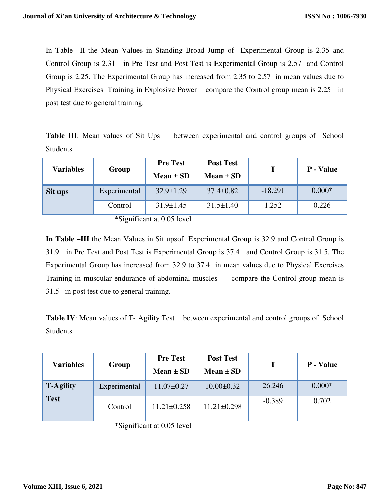In Table –II the Mean Values in Standing Broad Jump of Experimental Group is 2.35 and Control Group is 2.31 in Pre Test and Post Test is Experimental Group is 2.57 and Control Group is 2.25. The Experimental Group has increased from 2.35 to 2.57 in mean values due to Physical Exercises Training in Explosive Power compare the Control group mean is 2.25 in post test due to general training.

| <b>Table III:</b> Mean values of Sit Ups | between experimental and control groups of School |  |
|------------------------------------------|---------------------------------------------------|--|
| Students                                 |                                                   |  |

| <b>Variables</b> | Group        | <b>Pre Test</b><br>Mean $\pm$ SD | <b>Post Test</b><br>Mean $\pm$ SD | т         | <b>P</b> - Value |
|------------------|--------------|----------------------------------|-----------------------------------|-----------|------------------|
| Sit ups          | Experimental | $32.9 \pm 1.29$                  | $37.4 \pm 0.82$                   | $-18.291$ | $0.000*$         |
|                  | Control      | $31.9 \pm 1.45$                  | $31.5 \pm 1.40$                   | 1.252     | 0.226            |

\*Significant at 0.05 level

**In Table –III** the Mean Values in Sit upsof Experimental Group is 32.9 and Control Group is 31.9 in Pre Test and Post Test is Experimental Group is 37.4 and Control Group is 31.5. The Experimental Group has increased from 32.9 to 37.4 in mean values due to Physical Exercises Training in muscular endurance of abdominal muscles compare the Control group mean is 31.5 in post test due to general training.

**Table IV:** Mean values of T- Agility Test between experimental and control groups of School Students

| <b>Variables</b> | Group        | <b>Pre Test</b><br>Mean $\pm$ SD | <b>Post Test</b><br>Mean $\pm$ SD | T        | P - Value |
|------------------|--------------|----------------------------------|-----------------------------------|----------|-----------|
| <b>T-Agility</b> | Experimental | $11.07 \pm 0.27$                 | $10.00 \pm 0.32$                  | 26.246   | $0.000*$  |
| <b>Test</b>      | Control      | $11.21 \pm 0.258$                | $11.21 \pm 0.298$                 | $-0.389$ | 0.702     |

\*Significant at 0.05 level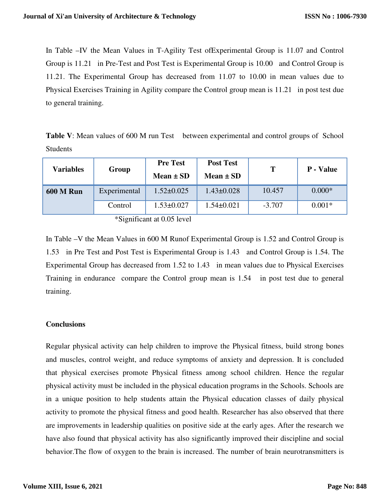In Table –IV the Mean Values in T-Agility Test ofExperimental Group is 11.07 and Control Group is 11.21 in Pre-Test and Post Test is Experimental Group is 10.00 and Control Group is 11.21. The Experimental Group has decreased from 11.07 to 10.00 in mean values due to Physical Exercises Training in Agility compare the Control group mean is 11.21 in post test due to general training.

**Table V**: Mean values of 600 M run Test between experimental and control groups of School Students

| <b>Variables</b> | Group        | <b>Pre Test</b><br>Mean $\pm$ SD | <b>Post Test</b><br>Mean $\pm$ SD | Т        | <b>P</b> - Value |
|------------------|--------------|----------------------------------|-----------------------------------|----------|------------------|
| <b>600 M Run</b> | Experimental | $1.52 \pm 0.025$                 | $1.43 \pm 0.028$                  | 10.457   | $0.000*$         |
|                  | Control      | $1.53 \pm 0.027$                 | $1.54 \pm 0.021$                  | $-3.707$ | $0.001*$         |

\*Significant at 0.05 level

In Table –V the Mean Values in 600 M Runof Experimental Group is 1.52 and Control Group is 1.53 in Pre Test and Post Test is Experimental Group is 1.43 and Control Group is 1.54. The Experimental Group has decreased from 1.52 to 1.43 in mean values due to Physical Exercises Training in endurance compare the Control group mean is 1.54 in post test due to general training.

# **Conclusions**

Regular physical activity can help children to improve the Physical fitness, build strong bones and muscles, control weight, and reduce symptoms of anxiety and depression. It is concluded that physical exercises promote Physical fitness among school children. Hence the regular physical activity must be included in the physical education programs in the Schools. Schools are in a unique position to help students attain the Physical education classes of daily physical activity to promote the physical fitness and good health. Researcher has also observed that there are improvements in leadership qualities on positive side at the early ages. After the research we have also found that physical activity has also significantly improved their discipline and social behavior.The flow of oxygen to the brain is increased. The number of brain neurotransmitters is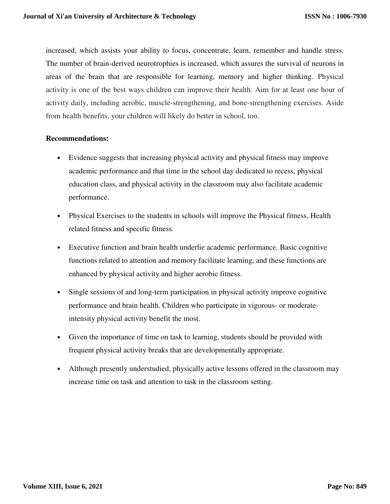increased, which assists your ability to focus, concentrate, learn, remember and handle stress. The number of brain-derived neurotrophies is increased, which assures the survival of neurons in areas of the brain that are responsible for learning, memory and higher thinking. Physical activity is one of the best ways children can improve their health. Aim for at least one hour of activity daily, including aerobic, muscle-strengthening, and bone-strengthening exercises. Aside from health benefits, your children will likely do better in school, too.

## **Recommendations:**

- Evidence suggests that increasing physical activity and physical fitness may improve academic performance and that time in the school day dedicated to recess, physical education class, and physical activity in the classroom may also facilitate academic performance.
- Physical Exercises to the students in schools will improve the Physical fitness, Health related fitness and specific fitness.
- Executive function and brain health underlie academic performance. Basic cognitive functions related to attention and memory facilitate learning, and these functions are enhanced by physical activity and higher aerobic fitness.
- Single sessions of and long-term participation in physical activity improve cognitive performance and brain health. Children who participate in vigorous- or moderateintensity physical activity benefit the most.
- Given the importance of time on task to learning, students should be provided with frequent physical activity breaks that are developmentally appropriate.
- Although presently understudied, physically active lessons offered in the classroom may increase time on task and attention to task in the classroom setting.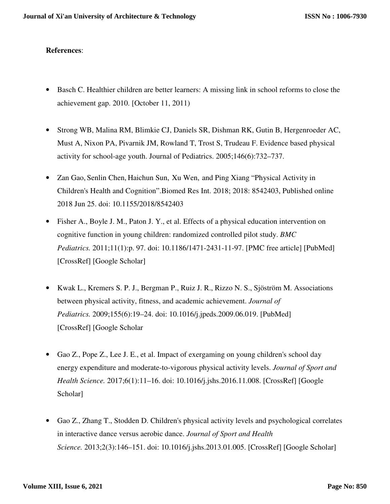# **References**:

- Basch C. Healthier children are better learners: A missing link in school reforms to close the achievement gap. 2010. [October 11, 2011)
- Strong WB, Malina RM, Blimkie CJ, Daniels SR, Dishman RK, Gutin B, Hergenroeder AC, Must A, Nixon PA, Pivarnik JM, Rowland T, Trost S, Trudeau F. Evidence based physical activity for school-age youth. Journal of Pediatrics. 2005;146(6):732–737.
- Zan Gao, Senlin Chen, Haichun Sun, Xu Wen, and Ping Xiang "Physical Activity in Children's Health and Cognition".Biomed Res Int. 2018; 2018: 8542403, Published online 2018 Jun 25. doi: 10.1155/2018/8542403
- Fisher A., Boyle J. M., Paton J. Y., et al. Effects of a physical education intervention on cognitive function in young children: randomized controlled pilot study. *BMC Pediatrics.* 2011;11(1):p. 97. doi: 10.1186/1471-2431-11-97. [PMC free article] [PubMed] [CrossRef] [Google Scholar]
- Kwak L., Kremers S. P. J., Bergman P., Ruiz J. R., Rizzo N. S., Sjöström M. Associations between physical activity, fitness, and academic achievement. *Journal of Pediatrics.* 2009;155(6):19–24. doi: 10.1016/j.jpeds.2009.06.019. [PubMed] [CrossRef] [Google Scholar
- Gao Z., Pope Z., Lee J. E., et al. Impact of exergaming on young children's school day energy expenditure and moderate-to-vigorous physical activity levels. *Journal of Sport and Health Science.* 2017;6(1):11–16. doi: 10.1016/j.jshs.2016.11.008. [CrossRef] [Google Scholar]
- Gao Z., Zhang T., Stodden D. Children's physical activity levels and psychological correlates in interactive dance versus aerobic dance. *Journal of Sport and Health Science.* 2013;2(3):146–151. doi: 10.1016/j.jshs.2013.01.005. [CrossRef] [Google Scholar]